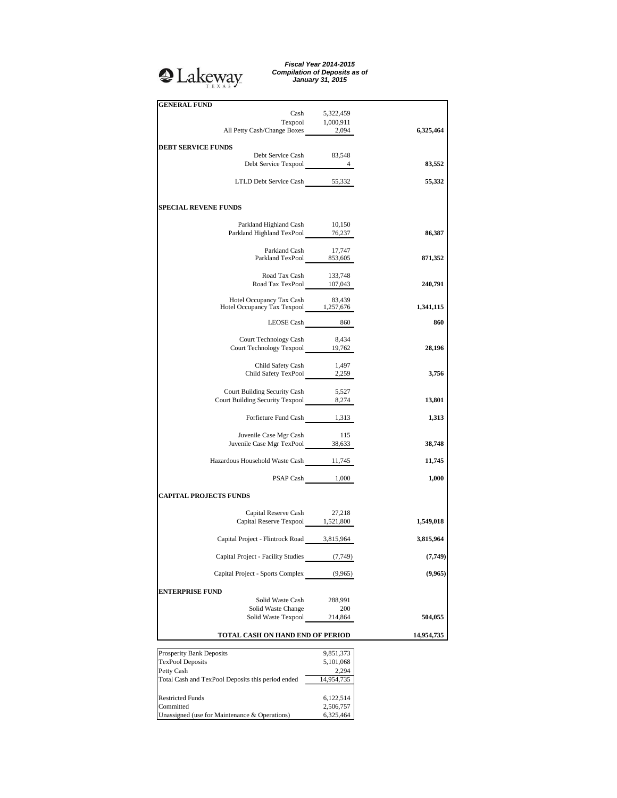# <sup>2</sup>Lakeway

*Fiscal Year 2014-2015 Compilation of Deposits as of January 31, 2015*

| <b>GENERAL FUND</b>                                                                      |                                     |            |
|------------------------------------------------------------------------------------------|-------------------------------------|------------|
|                                                                                          |                                     |            |
|                                                                                          | Cash 5,322,459<br>Texpool 1,000,911 |            |
| All Petty Cash/Change Boxes                                                              | 2,094                               | 6,325,464  |
| <b>DEBT SERVICE FUNDS</b>                                                                |                                     |            |
| Debt Service Cash                                                                        | 83,548                              |            |
| Debt Service Texpool 4                                                                   |                                     | 83,552     |
|                                                                                          |                                     |            |
| LTLD Debt Service Cash 55,332                                                            |                                     | 55,332     |
| <b>SPECIAL REVENE FUNDS</b>                                                              |                                     |            |
| Parkland Highland Cash 10,150                                                            |                                     |            |
| Parkland Highland TexPool 76,237                                                         |                                     | 86,387     |
|                                                                                          |                                     |            |
| Parkland Cash 17,747<br>Parkland TexPool 853,605                                         |                                     |            |
|                                                                                          |                                     | 871,352    |
| Road Tax Cash 133,748                                                                    |                                     |            |
| Road Tax TexPool 107,043                                                                 |                                     | 240,791    |
|                                                                                          |                                     |            |
| Hotel Occupancy Tax Cash 83,439<br>Hotel Occupancy Tax Texpool 1,257,676                 |                                     | 1,341,115  |
|                                                                                          |                                     |            |
|                                                                                          | LEOSE Cash $860$                    | 860        |
| Court Technology Cash                                                                    | 8,434                               |            |
| Court Technology Texpool 19,762                                                          |                                     | 28,196     |
|                                                                                          |                                     |            |
| Child Safety Cash                                                                        | 1,497                               |            |
| Child Safety TexPool 2,259                                                               |                                     | 3,756      |
| Court Building Security Cash                                                             | 5,527                               |            |
| Court Building Security Texpool 8,274                                                    |                                     | 13,801     |
|                                                                                          |                                     |            |
| Forfieture Fund Cash 1,313                                                               |                                     | 1,313      |
|                                                                                          |                                     |            |
| Juvenile Case Mgr Cash<br>Juvenile Case Mgr Cash 115<br>Juvenile Case Mgr TexPool 38,633 | 115                                 | 38,748     |
|                                                                                          |                                     |            |
| Hazardous Household Waste Cash 11,745                                                    |                                     | 11,745     |
|                                                                                          | PSAP Cash 1,000                     | 1,000      |
| <b>CAPITAL PROJECTS FUNDS</b>                                                            |                                     |            |
| Capital Reserve Cash                                                                     |                                     |            |
| Capital Reserve Cash 27,218<br>Capital Reserve Texpool 1,521,800                         |                                     | 1,549,018  |
|                                                                                          |                                     |            |
| Capital Project - Flintrock Road 3,815,964                                               |                                     | 3,815,964  |
| Capital Project - Facility Studies                                                       | (7, 749)                            | (7, 749)   |
|                                                                                          |                                     |            |
| Capital Project - Sports Complex                                                         | (9,965)                             | (9,965)    |
| <b>ENTERPRISE FUND</b>                                                                   |                                     |            |
| Solid Waste Cash                                                                         | 288,991                             |            |
| Solid Waste Change                                                                       | 200                                 |            |
| Solid Waste Texpool                                                                      | 214,864                             | 504,055    |
| TOTAL CASH ON HAND END OF PERIOD                                                         |                                     | 14,954,735 |
|                                                                                          |                                     |            |
| Prosperity Bank Deposits                                                                 | 9,851,373                           |            |
| <b>TexPool Deposits</b><br>Petty Cash                                                    | 5,101,068<br>2,294                  |            |
| Total Cash and TexPool Deposits this period ended                                        | 14,954,735                          |            |

Restricted Funds 6,122,514 Committed 2,506,757 Restricted Funds 6,122,514<br>
Committed 2,506,757<br>
Unassigned (use for Maintenance & Operations) 6,325,464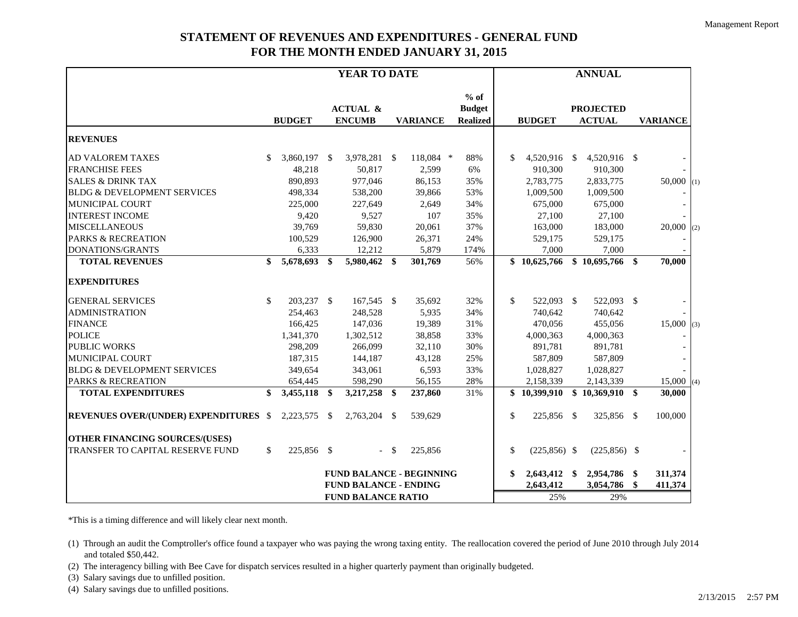## **STATEMENT OF REVENUES AND EXPENDITURES - GENERAL FUND FOR THE MONTH ENDED JANUARY 31, 2015**

|                                              | YEAR TO DATE |               |      |                                                         |    |                                            |               | <b>ANNUAL</b> |                                   |     |                 |    |              |     |
|----------------------------------------------|--------------|---------------|------|---------------------------------------------------------|----|--------------------------------------------|---------------|---------------|-----------------------------------|-----|-----------------|----|--------------|-----|
|                                              |              | <b>BUDGET</b> |      | <b>ACTUAL &amp;</b><br><b>ENCUMB</b><br><b>VARIANCE</b> |    | $%$ of<br><b>Budget</b><br><b>Realized</b> | <b>BUDGET</b> |               | <b>PROJECTED</b><br><b>ACTUAL</b> |     | <b>VARIANCE</b> |    |              |     |
| <b>REVENUES</b>                              |              |               |      |                                                         |    |                                            |               |               |                                   |     |                 |    |              |     |
| AD VALOREM TAXES                             | \$.          | 3,860,197 \$  |      | 3,978,281 \$                                            |    | 118,084 *                                  | 88%           | \$            | 4,520,916 \$                      |     | 4,520,916 \$    |    |              |     |
| <b>FRANCHISE FEES</b>                        |              | 48,218        |      | 50,817                                                  |    | 2,599                                      | 6%            |               | 910,300                           |     | 910,300         |    |              |     |
| <b>SALES &amp; DRINK TAX</b>                 |              | 890,893       |      | 977,046                                                 |    | 86,153                                     | 35%           |               | 2,783,775                         |     | 2,833,775       |    | 50,000       | (1) |
| <b>BLDG &amp; DEVELOPMENT SERVICES</b>       |              | 498,334       |      | 538,200                                                 |    | 39,866                                     | 53%           |               | 1,009,500                         |     | 1,009,500       |    |              |     |
| <b>MUNICIPAL COURT</b>                       |              | 225,000       |      | 227,649                                                 |    | 2,649                                      | 34%           |               | 675,000                           |     | 675,000         |    |              |     |
| <b>INTEREST INCOME</b>                       |              | 9,420         |      | 9,527                                                   |    | 107                                        | 35%           |               | 27,100                            |     | 27,100          |    |              |     |
| <b>MISCELLANEOUS</b>                         |              | 39,769        |      | 59,830                                                  |    | 20,061                                     | 37%           |               | 163,000                           |     | 183,000         |    | 20,000       | (2) |
| <b>PARKS &amp; RECREATION</b>                |              | 100,529       |      | 126,900                                                 |    | 26,371                                     | 24%           |               | 529,175                           |     | 529,175         |    |              |     |
| <b>DONATIONS/GRANTS</b>                      |              | 6,333         |      | 12,212                                                  |    | 5,879                                      | 174%          |               | 7,000                             |     | 7,000           |    |              |     |
| <b>TOTAL REVENUES</b>                        | \$           | 5,678,693     | \$   | 5,980,462 \$                                            |    | 301,769                                    | 56%           |               | \$10,625,766                      |     | \$10,695,766    | \$ | 70,000       |     |
| <b>EXPENDITURES</b>                          |              |               |      |                                                         |    |                                            |               |               |                                   |     |                 |    |              |     |
| <b>GENERAL SERVICES</b>                      | \$.          | 203,237 \$    |      | 167,545 \$                                              |    | 35,692                                     | 32%           | \$.           | 522,093 \$                        |     | 522,093 \$      |    |              |     |
| <b>ADMINISTRATION</b>                        |              | 254,463       |      | 248,528                                                 |    | 5,935                                      | 34%           |               | 740.642                           |     | 740.642         |    |              |     |
| <b>FINANCE</b>                               |              | 166,425       |      | 147,036                                                 |    | 19,389                                     | 31%           |               | 470,056                           |     | 455,056         |    | 15,000       | (3) |
| <b>POLICE</b>                                |              | 1,341,370     |      | 1,302,512                                               |    | 38,858                                     | 33%           |               | 4,000,363                         |     | 4,000,363       |    |              |     |
| <b>PUBLIC WORKS</b>                          |              | 298,209       |      | 266,099                                                 |    | 32,110                                     | 30%           |               | 891,781                           |     | 891,781         |    |              |     |
| <b>MUNICIPAL COURT</b>                       |              | 187,315       |      | 144,187                                                 |    | 43,128                                     | 25%           |               | 587,809                           |     | 587,809         |    |              |     |
| <b>BLDG &amp; DEVELOPMENT SERVICES</b>       |              | 349,654       |      | 343,061                                                 |    | 6,593                                      | 33%           |               | 1,028,827                         |     | 1,028,827       |    |              |     |
| <b>PARKS &amp; RECREATION</b>                |              | 654,445       |      | 598,290                                                 |    | 56,155                                     | 28%           |               | 2,158,339                         |     | 2,143,339       |    | $15,000$ (4) |     |
| <b>TOTAL EXPENDITURES</b>                    | \$           | 3,455,118     | \$   | 3,217,258 \$                                            |    | 237,860                                    | 31%           |               | \$10,399,910                      |     | \$10,369,910    | \$ | 30,000       |     |
| <b>REVENUES OVER/(UNDER) EXPENDITURES \$</b> |              | 2,223,575     | - \$ | 2,763,204 \$                                            |    | 539,629                                    |               | \$            | 225,856 \$                        |     | 325,856 \$      |    | 100,000      |     |
| <b>OTHER FINANCING SOURCES/(USES)</b>        |              |               |      |                                                         |    |                                            |               |               |                                   |     |                 |    |              |     |
| TRANSFER TO CAPITAL RESERVE FUND             | \$           | 225,856 \$    |      | $\omega_{\rm c}$                                        | \$ | 225,856                                    |               | \$            | $(225, 856)$ \$                   |     | $(225, 856)$ \$ |    |              |     |
|                                              |              |               |      |                                                         |    | <b>FUND BALANCE - BEGINNING</b>            |               | \$            | $2,643,412$ \$                    |     | 2,954,786       | \$ | 311,374      |     |
|                                              |              |               |      | <b>FUND BALANCE - ENDING</b>                            |    |                                            |               |               | 2,643,412                         |     | 3,054,786       | \$ | 411,374      |     |
| <b>FUND BALANCE RATIO</b>                    |              |               |      |                                                         |    |                                            |               | 25%           |                                   | 29% |                 |    |              |     |

\*This is a timing difference and will likely clear next month.

(1) Through an audit the Comptroller's office found a taxpayer who was paying the wrong taxing entity. The reallocation covered the period of June 2010 through July 2014 and totaled \$50,442.

(2) The interagency billing with Bee Cave for dispatch services resulted in a higher quarterly payment than originally budgeted.

(3) Salary savings due to unfilled position.

(4) Salary savings due to unfilled positions.